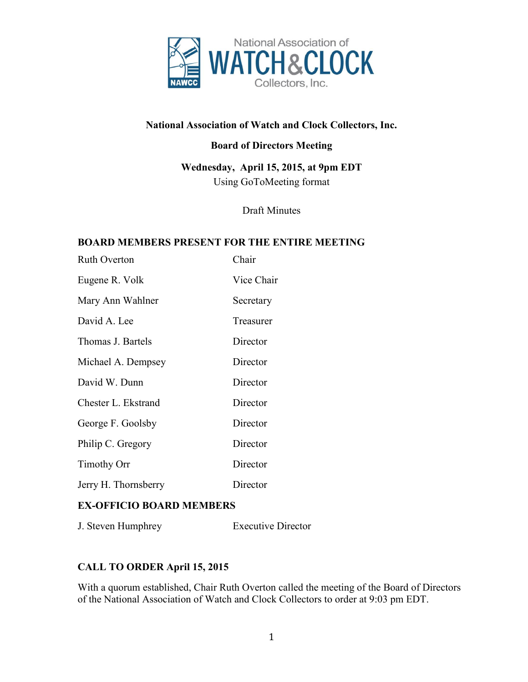

# **National Association of Watch and Clock Collectors, Inc.**

## **Board of Directors Meeting**

**Wednesday, April 15, 2015, at 9pm EDT** Using GoToMeeting format

Draft Minutes

#### **BOARD MEMBERS PRESENT FOR THE ENTIRE MEETING**

| <b>Ruth Overton</b>  | Chair      |
|----------------------|------------|
| Eugene R. Volk       | Vice Chair |
| Mary Ann Wahlner     | Secretary  |
| David A. Lee         | Treasurer  |
| Thomas J. Bartels    | Director   |
| Michael A. Dempsey   | Director   |
| David W. Dunn        | Director   |
| Chester L. Ekstrand  | Director   |
| George F. Goolsby    | Director   |
| Philip C. Gregory    | Director   |
| <b>Timothy Orr</b>   | Director   |
| Jerry H. Thornsberry | Director   |

### **EX-OFFICIO BOARD MEMBERS**

J. Steven Humphrey Executive Director

# **CALL TO ORDER April 15, 2015**

With a quorum established, Chair Ruth Overton called the meeting of the Board of Directors of the National Association of Watch and Clock Collectors to order at 9:03 pm EDT.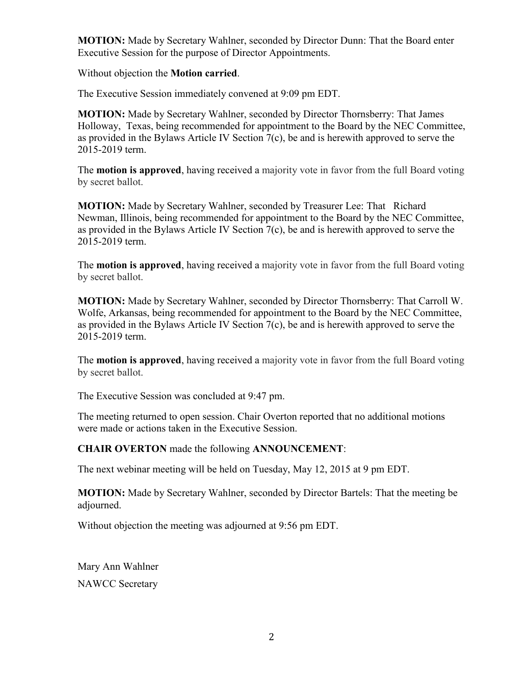**MOTION:** Made by Secretary Wahlner, seconded by Director Dunn: That the Board enter Executive Session for the purpose of Director Appointments.

Without objection the **Motion carried**.

The Executive Session immediately convened at 9:09 pm EDT.

**MOTION:** Made by Secretary Wahlner, seconded by Director Thornsberry: That James Holloway, Texas, being recommended for appointment to the Board by the NEC Committee, as provided in the Bylaws Article IV Section 7(c), be and is herewith approved to serve the 2015-2019 term.

The **motion is approved**, having received a majority vote in favor from the full Board voting by secret ballot.

**MOTION:** Made by Secretary Wahlner, seconded by Treasurer Lee: That Richard Newman, Illinois, being recommended for appointment to the Board by the NEC Committee, as provided in the Bylaws Article IV Section 7(c), be and is herewith approved to serve the 2015-2019 term.

The **motion is approved**, having received a majority vote in favor from the full Board voting by secret ballot.

**MOTION:** Made by Secretary Wahlner, seconded by Director Thornsberry: That Carroll W. Wolfe, Arkansas, being recommended for appointment to the Board by the NEC Committee, as provided in the Bylaws Article IV Section 7(c), be and is herewith approved to serve the 2015-2019 term.

The **motion is approved**, having received a majority vote in favor from the full Board voting by secret ballot.

The Executive Session was concluded at 9:47 pm.

The meeting returned to open session. Chair Overton reported that no additional motions were made or actions taken in the Executive Session.

### **CHAIR OVERTON** made the following **ANNOUNCEMENT**:

The next webinar meeting will be held on Tuesday, May 12, 2015 at 9 pm EDT.

**MOTION:** Made by Secretary Wahlner, seconded by Director Bartels: That the meeting be adjourned.

Without objection the meeting was adjourned at 9:56 pm EDT.

Mary Ann Wahlner NAWCC Secretary